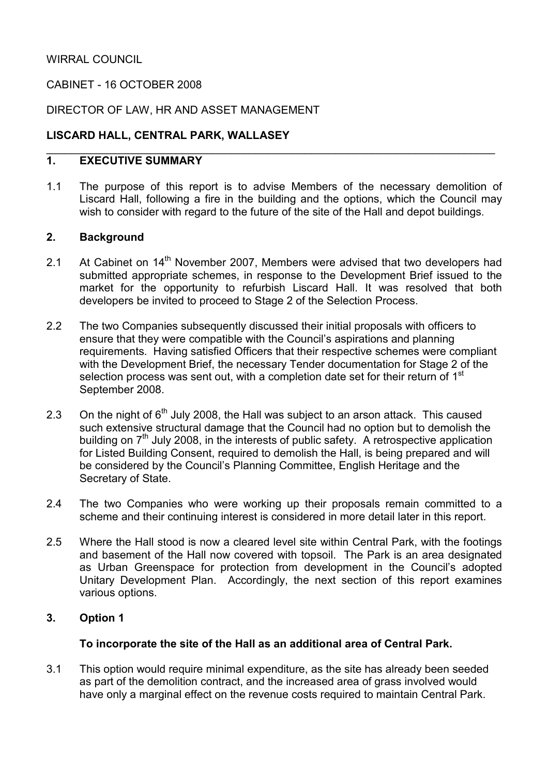### CABINET - 16 OCTOBER 2008

#### DIRECTOR OF LAW, HR AND ASSET MANAGEMENT

### LISCARD HALL, CENTRAL PARK, WALLASEY

#### 1. EXECUTIVE SUMMARY

1.1 The purpose of this report is to advise Members of the necessary demolition of Liscard Hall, following a fire in the building and the options, which the Council may wish to consider with regard to the future of the site of the Hall and depot buildings.

 $\_$  , and the contribution of the contribution of  $\mathcal{L}_\mathcal{A}$  , and the contribution of  $\mathcal{L}_\mathcal{A}$  , and

#### 2. Background

- 2.1 At Cabinet on  $14<sup>th</sup>$  November 2007, Members were advised that two developers had submitted appropriate schemes, in response to the Development Brief issued to the market for the opportunity to refurbish Liscard Hall. It was resolved that both developers be invited to proceed to Stage 2 of the Selection Process.
- 2.2 The two Companies subsequently discussed their initial proposals with officers to ensure that they were compatible with the Council's aspirations and planning requirements. Having satisfied Officers that their respective schemes were compliant with the Development Brief, the necessary Tender documentation for Stage 2 of the selection process was sent out, with a completion date set for their return of 1<sup>st</sup> September 2008.
- 2.3 On the night of  $6<sup>th</sup>$  July 2008, the Hall was subject to an arson attack. This caused such extensive structural damage that the Council had no option but to demolish the building on 7<sup>th</sup> July 2008, in the interests of public safety. A retrospective application for Listed Building Consent, required to demolish the Hall, is being prepared and will be considered by the Council's Planning Committee, English Heritage and the Secretary of State.
- 2.4 The two Companies who were working up their proposals remain committed to a scheme and their continuing interest is considered in more detail later in this report.
- 2.5 Where the Hall stood is now a cleared level site within Central Park, with the footings and basement of the Hall now covered with topsoil. The Park is an area designated as Urban Greenspace for protection from development in the Council's adopted Unitary Development Plan. Accordingly, the next section of this report examines various options.

#### 3. Option 1

#### To incorporate the site of the Hall as an additional area of Central Park.

3.1 This option would require minimal expenditure, as the site has already been seeded as part of the demolition contract, and the increased area of grass involved would have only a marginal effect on the revenue costs required to maintain Central Park.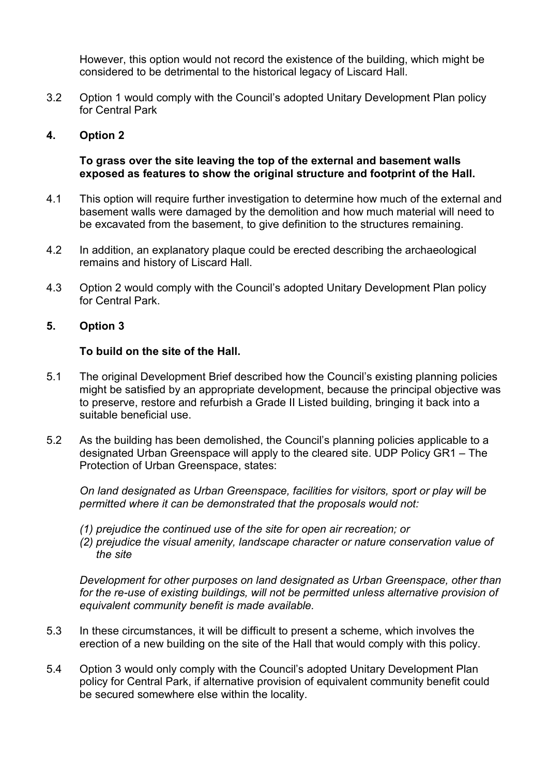However, this option would not record the existence of the building, which might be considered to be detrimental to the historical legacy of Liscard Hall.

3.2 Option 1 would comply with the Council's adopted Unitary Development Plan policy for Central Park

### 4. Option 2

#### To grass over the site leaving the top of the external and basement walls exposed as features to show the original structure and footprint of the Hall.

- 4.1 This option will require further investigation to determine how much of the external and basement walls were damaged by the demolition and how much material will need to be excavated from the basement, to give definition to the structures remaining.
- 4.2 In addition, an explanatory plaque could be erected describing the archaeological remains and history of Liscard Hall.
- 4.3 Option 2 would comply with the Council's adopted Unitary Development Plan policy for Central Park.

#### 5. Option 3

#### To build on the site of the Hall.

- 5.1 The original Development Brief described how the Council's existing planning policies might be satisfied by an appropriate development, because the principal objective was to preserve, restore and refurbish a Grade II Listed building, bringing it back into a suitable beneficial use.
- 5.2 As the building has been demolished, the Council's planning policies applicable to a designated Urban Greenspace will apply to the cleared site. UDP Policy GR1 – The Protection of Urban Greenspace, states:

On land designated as Urban Greenspace, facilities for visitors, sport or play will be permitted where it can be demonstrated that the proposals would not:

- (1) prejudice the continued use of the site for open air recreation; or
- (2) prejudice the visual amenity, landscape character or nature conservation value of the site

Development for other purposes on land designated as Urban Greenspace, other than for the re-use of existing buildings, will not be permitted unless alternative provision of equivalent community benefit is made available.

- 5.3 In these circumstances, it will be difficult to present a scheme, which involves the erection of a new building on the site of the Hall that would comply with this policy.
- 5.4 Option 3 would only comply with the Council's adopted Unitary Development Plan policy for Central Park, if alternative provision of equivalent community benefit could be secured somewhere else within the locality.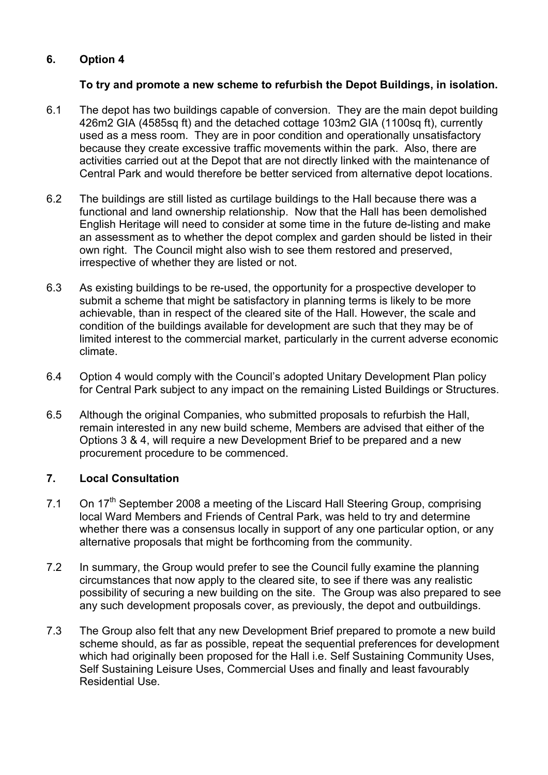### 6. Option 4

### To try and promote a new scheme to refurbish the Depot Buildings, in isolation.

- 6.1 The depot has two buildings capable of conversion. They are the main depot building 426m2 GIA (4585sq ft) and the detached cottage 103m2 GIA (1100sq ft), currently used as a mess room. They are in poor condition and operationally unsatisfactory because they create excessive traffic movements within the park. Also, there are activities carried out at the Depot that are not directly linked with the maintenance of Central Park and would therefore be better serviced from alternative depot locations.
- 6.2 The buildings are still listed as curtilage buildings to the Hall because there was a functional and land ownership relationship. Now that the Hall has been demolished English Heritage will need to consider at some time in the future de-listing and make an assessment as to whether the depot complex and garden should be listed in their own right. The Council might also wish to see them restored and preserved, irrespective of whether they are listed or not.
- 6.3 As existing buildings to be re-used, the opportunity for a prospective developer to submit a scheme that might be satisfactory in planning terms is likely to be more achievable, than in respect of the cleared site of the Hall. However, the scale and condition of the buildings available for development are such that they may be of limited interest to the commercial market, particularly in the current adverse economic climate.
- 6.4 Option 4 would comply with the Council's adopted Unitary Development Plan policy for Central Park subject to any impact on the remaining Listed Buildings or Structures.
- 6.5 Although the original Companies, who submitted proposals to refurbish the Hall, remain interested in any new build scheme, Members are advised that either of the Options 3 & 4, will require a new Development Brief to be prepared and a new procurement procedure to be commenced.

### 7. Local Consultation

- 7.1 On  $17<sup>th</sup>$  September 2008 a meeting of the Liscard Hall Steering Group, comprising local Ward Members and Friends of Central Park, was held to try and determine whether there was a consensus locally in support of any one particular option, or any alternative proposals that might be forthcoming from the community.
- 7.2 In summary, the Group would prefer to see the Council fully examine the planning circumstances that now apply to the cleared site, to see if there was any realistic possibility of securing a new building on the site. The Group was also prepared to see any such development proposals cover, as previously, the depot and outbuildings.
- 7.3 The Group also felt that any new Development Brief prepared to promote a new build scheme should, as far as possible, repeat the sequential preferences for development which had originally been proposed for the Hall i.e. Self Sustaining Community Uses, Self Sustaining Leisure Uses, Commercial Uses and finally and least favourably Residential Use.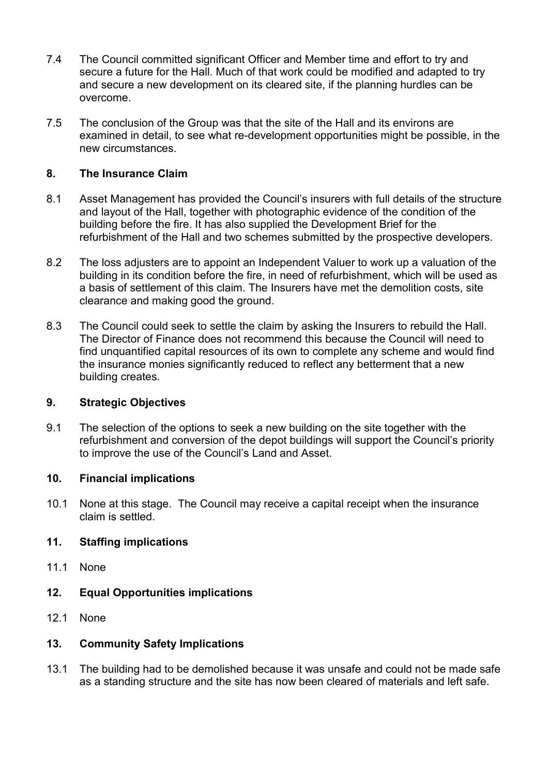- 7.4 The Council committed significant Officer and Member time and effort to try and secure a future for the Hall. Much of that work could be modified and adapted to try and secure a new development on its cleared site, if the planning hurdles can be overcome.
- 7.5 The conclusion of the Group was that the site of the Hall and its environs are examined in detail, to see what re-development opportunities might be possible, in the new circumstances.

### 8. The Insurance Claim

- 8.1 Asset Management has provided the Council's insurers with full details of the structure and layout of the Hall, together with photographic evidence of the condition of the building before the fire. It has also supplied the Development Brief for the refurbishment of the Hall and two schemes submitted by the prospective developers.
- 8.2 The loss adjusters are to appoint an Independent Valuer to work up a valuation of the building in its condition before the fire, in need of refurbishment, which will be used as a basis of settlement of this claim. The Insurers have met the demolition costs, site clearance and making good the ground.
- 8.3 The Council could seek to settle the claim by asking the Insurers to rebuild the Hall. The Director of Finance does not recommend this because the Council will need to find unquantified capital resources of its own to complete any scheme and would find the insurance monies significantly reduced to reflect any betterment that a new building creates.

#### 9. Strategic Objectives

9.1 The selection of the options to seek a new building on the site together with the refurbishment and conversion of the depot buildings will support the Council's priority to improve the use of the Council's Land and Asset.

### 10. Financial implications

10.1 None at this stage. The Council may receive a capital receipt when the insurance claim is settled.

### 11. Staffing implications

- 11.1 None
- 12. Equal Opportunities implications
- 12.1 None

### 13. Community Safety Implications

13.1 The building had to be demolished because it was unsafe and could not be made safe as a standing structure and the site has now been cleared of materials and left safe.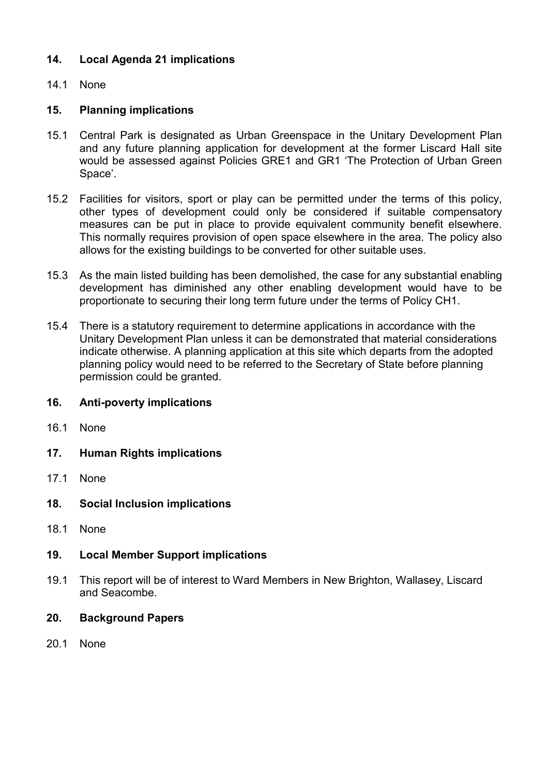### 14. Local Agenda 21 implications

### 14.1 None

### 15. Planning implications

- 15.1 Central Park is designated as Urban Greenspace in the Unitary Development Plan and any future planning application for development at the former Liscard Hall site would be assessed against Policies GRE1 and GR1 'The Protection of Urban Green Space'.
- 15.2 Facilities for visitors, sport or play can be permitted under the terms of this policy, other types of development could only be considered if suitable compensatory measures can be put in place to provide equivalent community benefit elsewhere. This normally requires provision of open space elsewhere in the area. The policy also allows for the existing buildings to be converted for other suitable uses.
- 15.3 As the main listed building has been demolished, the case for any substantial enabling development has diminished any other enabling development would have to be proportionate to securing their long term future under the terms of Policy CH1.
- 15.4 There is a statutory requirement to determine applications in accordance with the Unitary Development Plan unless it can be demonstrated that material considerations indicate otherwise. A planning application at this site which departs from the adopted planning policy would need to be referred to the Secretary of State before planning permission could be granted.

#### 16. Anti-poverty implications

- 16.1 None
- 17. Human Rights implications
- 17.1 None
- 18. Social Inclusion implications
- 18.1 None
- 19. Local Member Support implications
- 19.1 This report will be of interest to Ward Members in New Brighton, Wallasey, Liscard and Seacombe.
- 20. Background Papers
- 20.1 None